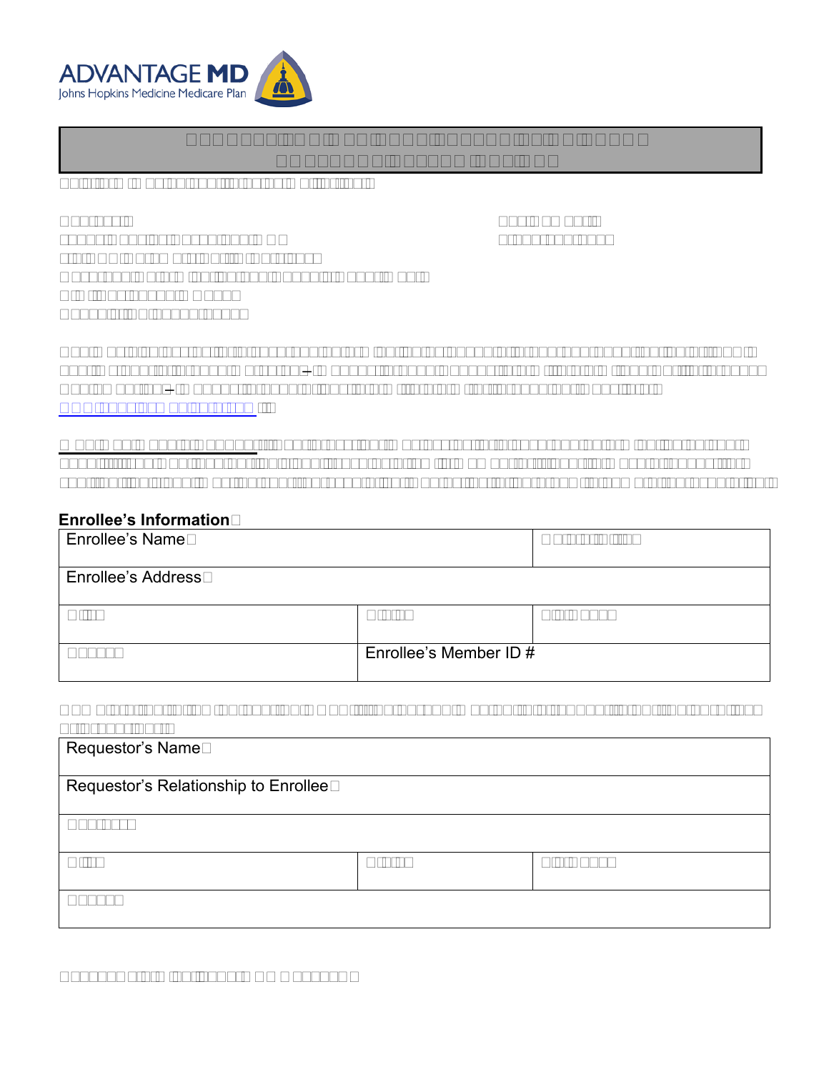

# **REQUEST FOR MEDICARE PRESCRIPTION DRUG COVERAGE DETERMINATION**

This form may be sent to us by mail or fax:

Address:

Fax Number: 1-855-633-7673

Johns Hopkins Advantage MD c/o CVS Caremark Part D Services Coverage Determination and Appeals Department P.O. Box 52000 MC109 Phoenix, AZ 85072-2000

You may also ask us for a coverage determination by phone at 1-877-293-4998 (option 2), TTY: 711, October 1 through March 31 – Monday through Sunday, 8 a.m. to 8 p.m. and April 1 through September 30 – Monday through Friday, 8 a.m. to 8 p.m. or through our website at [www.hopkinsmedicare.com.](http://www.hopkinsmedicare.com/)

**Who May Make a Request:** Your prescriber may ask us for a coverage determination on your behalf. If you want another individual (such as a family member or friend) to make a request for you, that individual must be your representative. Contact us to learn how to name a representative.

### **Enrollee's Information**

| <b>Enrollee's Name</b>    |                        | Date of Birth |
|---------------------------|------------------------|---------------|
| <b>Enrollee's Address</b> |                        |               |
| City                      | <b>State</b>           | Zip Code      |
| Phone                     | Enrollee's Member ID # |               |

#### **Complete the following section ONLY if the person making this request is not the enrollee or prescriber:**

| Requestor's Name                     |              |          |  |
|--------------------------------------|--------------|----------|--|
| Requestor's Relationship to Enrollee |              |          |  |
| Address                              |              |          |  |
| City                                 | <b>State</b> | Zip Code |  |
| Phone                                |              |          |  |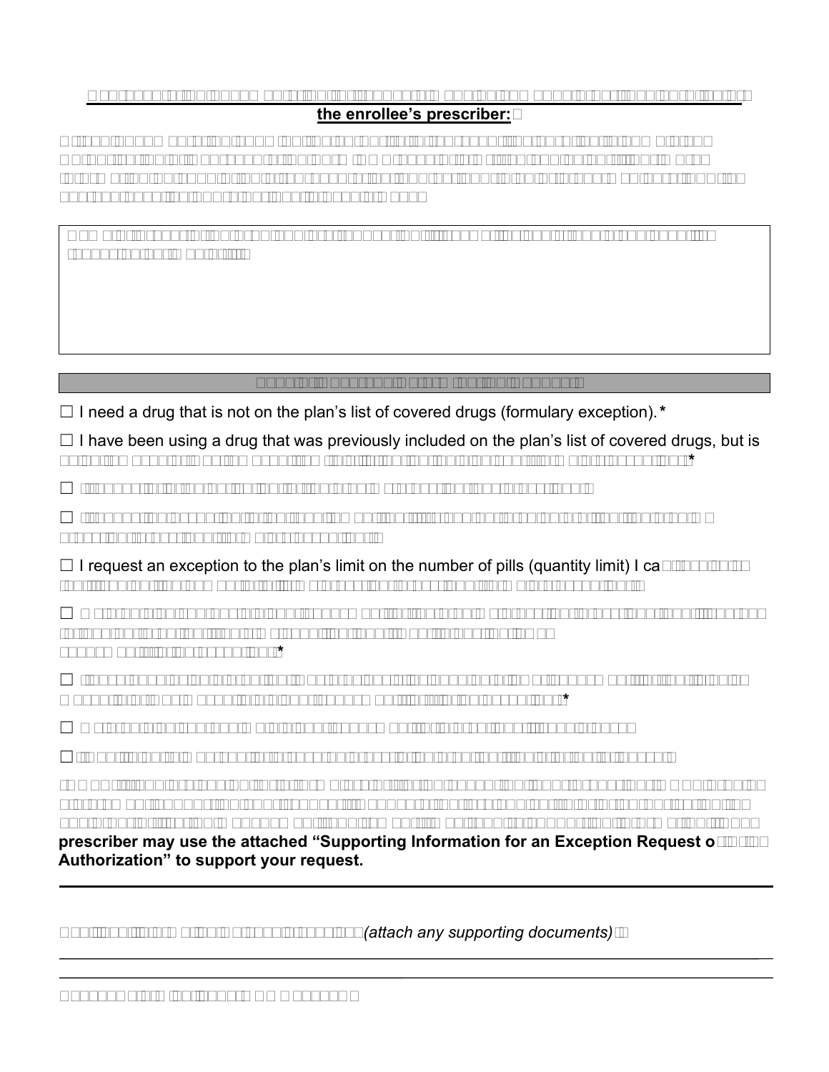## **Representation documentation for requests made by someone other than enrollee or the enrollee's prescriber:**

**Attach documentation showing the authority to represent the enrollee (a completed Authorization of Representation Form CMS-1696 or a written equivalent). For more information on appointing a representative, contact your plan or 1-800-Medicare, TTY: 1- 877-486-2048, 24 hours per day, 7 days a week.**

**Name of prescription drug you are requesting** (if known, include strength and quantity requested per month):

# **Type of Coverage Determination Request**

☐ I need a drug that is not on the plan's list of covered drugs (formulary exception).*\**

 $\Box$  I have been using a drug that was previously included on the plan's list of covered drugs, but is being removed or was removed from this list during the plan year (formulary exception).*\**

 $\Box$  I request prior authorization for the drug my prescriber has prescribed.\*

 $\Box$  I request an exception to the requirement that I try another drug before I get the drug my prescriber prescribed (formulary exception).\*

 $\Box$  I request an exception to the plan's limit on the number of pills (quantity limit) I can receive so that I can get the number of pills my prescriber prescribed (formulary exception).<sup>\*</sup>

 $\Box$  My drug plan charges a higher copayment for the drug my prescriber prescribed than it charges for another drug that treats my condition, and I want to pay the lower copayment (tiering exception).*\**

 $\Box$  I have been using a drug that was previously included on a lower copayment tier, but is being moved to or was moved to a higher copayment tier (tiering exception).*\**

 $\Box$  My drug plan charged me a higher copayment for a drug than it should have.

 $\Box$ I want to be reimbursed for a covered prescription drug that I paid for out of pocket.

**\*NOTE: If you are asking for a formulary or tiering exception, your prescriber MUST provide a statement supporting your request. Requests that are subject to prior authorization (or any other utilization management requirement), may require supporting information. Your prescriber may use the attached "Supporting Information for an Exception Request or Prior Authorization" to support your request.**

Additional information we should consider *(attach any supporting documents)*: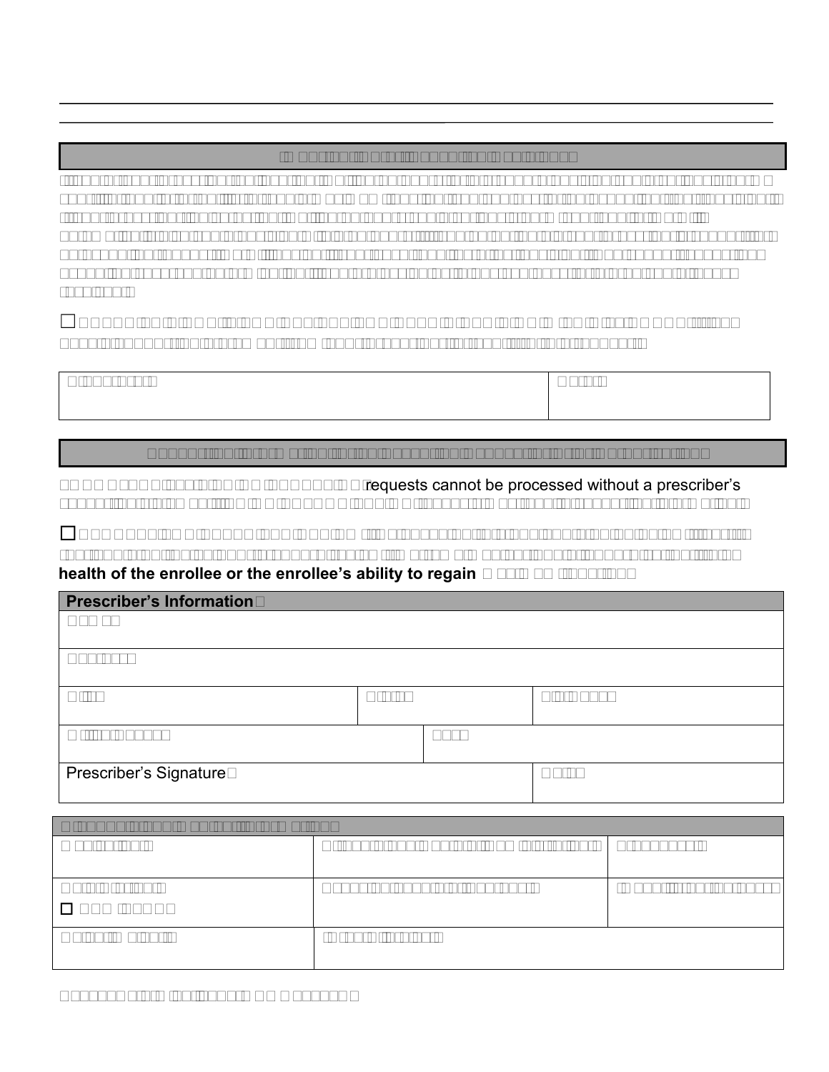# **Important Note: Expedited Decisions**

If you or your prescriber believe that waiting 72 hours for a standard decision could seriously harm your life, health, or ability to regain maximum function, you can ask for an expedited (fast) decision. If your prescriber indicates that waiting 72 hours could seriously harm your health, we will automatically give you a decision within 24 hours. If you do not obtain your prescriber's support for an expedited request, we will decide if your case requires a fast decision. You cannot request an expedited coverage determination if you are asking us to pay you back for a drug you already received.

# ☐**CHECK THIS BOX IF YOU BELIEVE YOU NEED A DECISION WITHIN 24 HOURS (if you have a supporting statement from your prescriber, attach it to this request).**

| <b>Signature:</b> | Date: |
|-------------------|-------|
|                   |       |

## **Supporting Information for an Exception Request or Prior Authorization**

FORMULARY and TIERING EXCEPTION requests cannot be processed without a prescriber's supporting statement. PRIOR AUTHORIZATION requests may require supporting information.

☐**REQUEST FOR EXPEDITED REVIEW: By checking this box and signing below, I certify that applying the 72 hour standard review timeframe may seriously jeopardize the life or health of the enrollee or the enrollee's ability to regain maximum function.**

| <b>Prescriber's Information</b> |              |     |          |
|---------------------------------|--------------|-----|----------|
| Name                            |              |     |          |
| <b>Address</b>                  |              |     |          |
| City                            | <b>State</b> |     | Zip Code |
| <b>Office Phone</b>             |              | Fax |          |
| <b>Prescriber's Signature</b>   |              |     | Date     |

| <b>Diagnosis and Medical Information</b> |                                       |                      |  |
|------------------------------------------|---------------------------------------|----------------------|--|
| Medication:                              | Strength and Route of Administration: | Frequency:           |  |
| Date Started:<br>$\Box$ NEW START        | Expected Length of Therapy:           | Quantity per 30 days |  |
| Height/Weight:                           | Drug Allergies:                       |                      |  |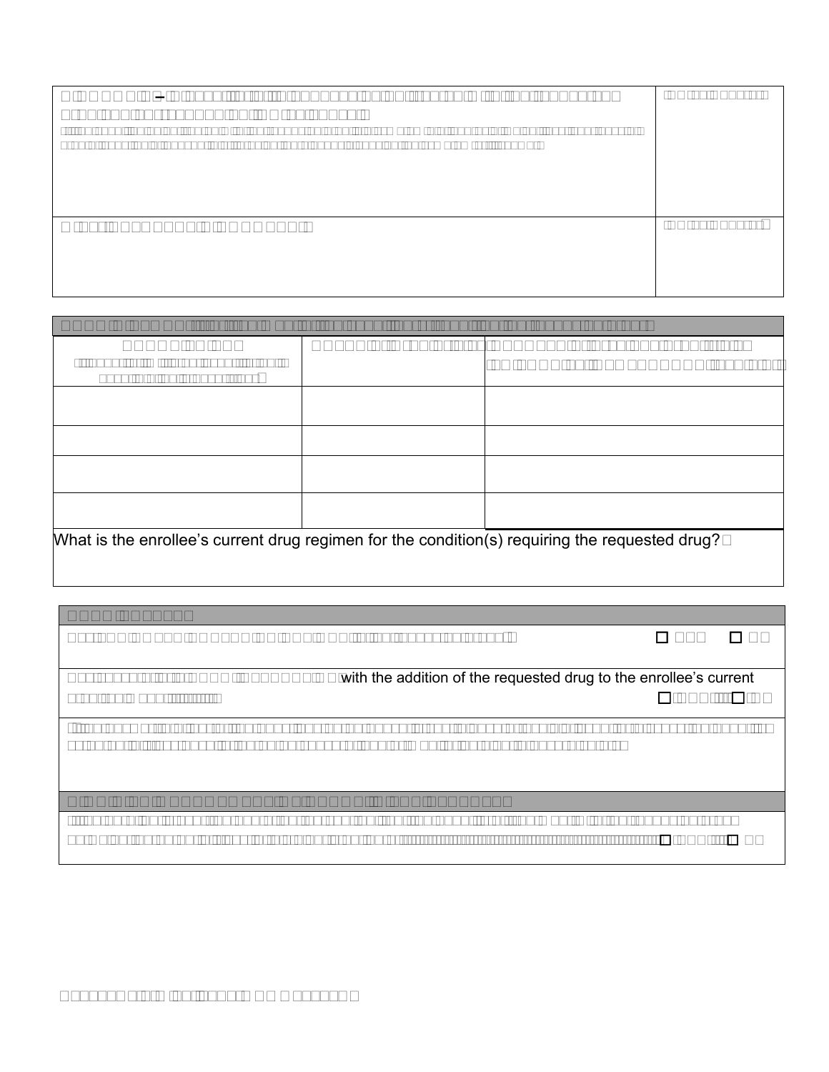| DIAGNOSIS – Please list all diagnoses being treated with the requested<br>drug and corresponding ICD-10 codes.<br>(If the condition being treated with the requested drug is a symptom e.g. anorexia, weight loss, shortness of<br>breath, chest pain, nausea, etc., provide the diagnosis causing the symptom(s) if known) | ICD-10 Code(s) |
|-----------------------------------------------------------------------------------------------------------------------------------------------------------------------------------------------------------------------------------------------------------------------------------------------------------------------------|----------------|
| <b>Other RELAVENT DIAGNOSES:</b>                                                                                                                                                                                                                                                                                            | ICD-10 Code(s) |

| <b>DRUG HISTORY:</b> (for treatment of the condition(s) requiring the requested drug)           |                      |                                                                                   |  |
|-------------------------------------------------------------------------------------------------|----------------------|-----------------------------------------------------------------------------------|--|
| <b>DRUGS TRIED</b><br>(if quantity limit is an issue, list unit<br>dose/total daily dose tried) | DATES of Drug Trials | <b>RESULTS of previous drug trials</b><br><b>FAILURE vs INTOLERANCE (explain)</b> |  |
|                                                                                                 |                      |                                                                                   |  |
|                                                                                                 |                      |                                                                                   |  |
|                                                                                                 |                      |                                                                                   |  |
|                                                                                                 |                      |                                                                                   |  |
| What is the enrollee's current drug regimen for the condition(s) requiring the requested drug?  |                      |                                                                                   |  |

| <b>DRUG SAFETY</b>                                                                                                                                                                                     |            |           |  |
|--------------------------------------------------------------------------------------------------------------------------------------------------------------------------------------------------------|------------|-----------|--|
| Any FDA NOTED CONTRAINDICATIONS to the requested drug?                                                                                                                                                 | □ YES      | $\Box$ NO |  |
|                                                                                                                                                                                                        |            |           |  |
| Any concern for a DRUG INTERACTION with the addition of the requested drug to the enrollee's current                                                                                                   |            |           |  |
| drug regimen?                                                                                                                                                                                          | <b>YES</b> | $\Box$ NO |  |
| If the answer to either of the questions noted above is yes, please 1) explain issue, 2) discuss the benefits<br>vs potential risks despite the noted concern, and 3) monitoring plan to ensure safety |            |           |  |
| <b>HIGH RISK MANAGEMENT OF DRUGS IN THE ELDERLY</b>                                                                                                                                                    |            |           |  |
| If the enrollee is over the age of 65, do you feel that the benefits of treatment with the requested drug                                                                                              |            |           |  |
| outweigh the potential risks in this elderly patient?                                                                                                                                                  | <b>YES</b> | $\Box$ NO |  |